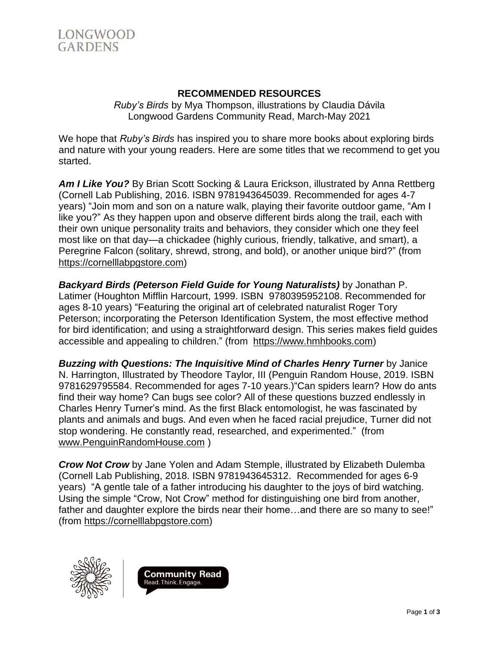

## **RECOMMENDED RESOURCES**

*Ruby's Birds* by Mya Thompson, illustrations by Claudia Dávila Longwood Gardens Community Read, March-May 2021

We hope that *Ruby's Birds* has inspired you to share more books about exploring birds and nature with your young readers. Here are some titles that we recommend to get you started.

*Am I Like You?* By Brian Scott Socking & Laura Erickson, illustrated by Anna Rettberg (Cornell Lab Publishing, 2016. ISBN 9781943645039. Recommended for ages 4-7 years) "Join mom and son on a nature walk, playing their favorite outdoor game, "Am I like you?" As they happen upon and observe different birds along the trail, each with their own unique personality traits and behaviors, they consider which one they feel most like on that day—a chickadee (highly curious, friendly, talkative, and smart), a Peregrine Falcon (solitary, shrewd, strong, and bold), or another unique bird?" (from [https://cornelllabpgstore.com\)](https://cornelllabpgstore.com/)

*Backyard Birds (Peterson Field Guide for Young Naturalists)* by Jonathan P. Latimer (Houghton Mifflin Harcourt, 1999. ISBN 9780395952108. Recommended for ages 8-10 years) "Featuring the original art of celebrated naturalist Roger Tory Peterson; incorporating the Peterson Identification System, the most effective method for bird identification; and using a straightforward design. This series makes field guides accessible and appealing to children." (from [https://www.hmhbooks.com\)](https://www.hmhbooks.com/)

*Buzzing with Questions: The Inquisitive Mind of Charles Henry Turner* by Janice N. Harrington, Illustrated by Theodore Taylor, III (Penguin Random House, 2019. ISBN 9781629795584. Recommended for ages 7-10 years.)"Can spiders learn? How do ants find their way home? Can bugs see color? All of these questions buzzed endlessly in Charles Henry Turner's mind. As the first Black entomologist, he was fascinated by plants and animals and bugs. And even when he faced racial prejudice, Turner did not stop wondering. He constantly read, researched, and experimented." (from [www.PenguinRandomHouse.com](http://www.penguinrandomhouse.com/) )

*Crow Not Crow* by Jane Yolen and Adam Stemple, illustrated by Elizabeth Dulemba (Cornell Lab Publishing, 2018. ISBN 9781943645312. Recommended for ages 6-9 years) "A gentle tale of a father introducing his daughter to the joys of bird watching. Using the simple "Crow, Not Crow" method for distinguishing one bird from another, father and daughter explore the birds near their home…and there are so many to see!" (from [https://cornelllabpgstore.com\)](https://cornelllabpgstore.com/)



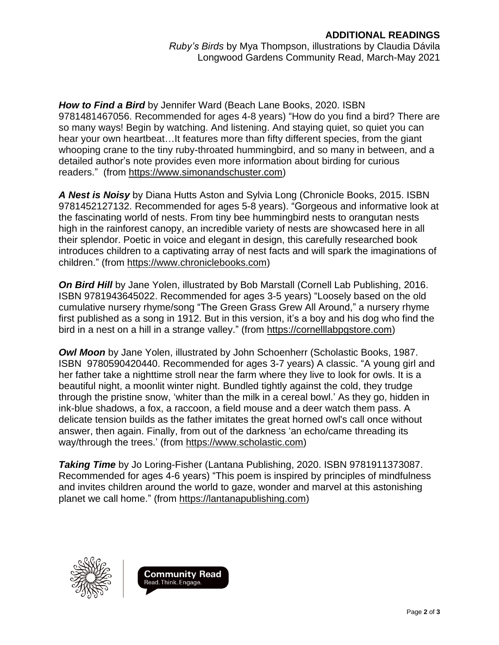*How to Find a Bird* by Jennifer Ward (Beach Lane Books, 2020. ISBN 9781481467056. Recommended for ages 4-8 years) "How do you find a bird? There are so many ways! Begin by watching. And listening. And staying quiet, so quiet you can hear your own heartbeat…It features more than fifty different species, from the giant whooping crane to the tiny ruby-throated hummingbird, and so many in between, and a detailed author's note provides even more information about birding for curious readers." (from [https://www.simonandschuster.com\)](https://www.simonandschuster.com/)

*A Nest is Noisy* by Diana Hutts Aston and Sylvia Long (Chronicle Books, 2015. ISBN 9781452127132. Recommended for ages 5-8 years). "Gorgeous and informative look at the fascinating world of nests. From tiny bee hummingbird nests to orangutan nests high in the rainforest canopy, an incredible variety of nests are showcased here in all their splendor. Poetic in voice and elegant in design, this carefully researched book introduces children to a captivating array of nest facts and will spark the imaginations of children." (from [https://www.chroniclebooks.com\)](https://www.chroniclebooks.com/)

*On Bird Hill* by Jane Yolen, illustrated by Bob Marstall (Cornell Lab Publishing, 2016. ISBN 9781943645022. Recommended for ages 3-5 years) "Loosely based on the old cumulative nursery rhyme/song "The Green Grass Grew All Around," a nursery rhyme first published as a song in 1912. But in this version, it's a boy and his dog who find the bird in a nest on a hill in a strange valley." (from [https://cornelllabpgstore.com\)](https://cornelllabpgstore.com/)

*Owl Moon* by Jane Yolen, illustrated by John Schoenherr (Scholastic Books, 1987. ISBN 9780590420440. Recommended for ages 3-7 years) A classic. "A young girl and her father take a nighttime stroll near the farm where they live to look for owls. It is a beautiful night, a moonlit winter night. Bundled tightly against the cold, they trudge through the pristine snow, 'whiter than the milk in a cereal bowl.' As they go, hidden in ink-blue shadows, a fox, a raccoon, a field mouse and a deer watch them pass. A delicate tension builds as the father imitates the great horned owl's call once without answer, then again. Finally, from out of the darkness 'an echo/came threading its way/through the trees.' (from [https://www.scholastic.com\)](https://www.scholastic.com/)

*Taking Time* by Jo Loring-Fisher (Lantana Publishing, 2020. ISBN 9781911373087. Recommended for ages 4-6 years) "This poem is inspired by principles of mindfulness and invites children around the world to gaze, wonder and marvel at this astonishing planet we call home." (from [https://lantanapublishing.com\)](https://lantanapublishing.com/)